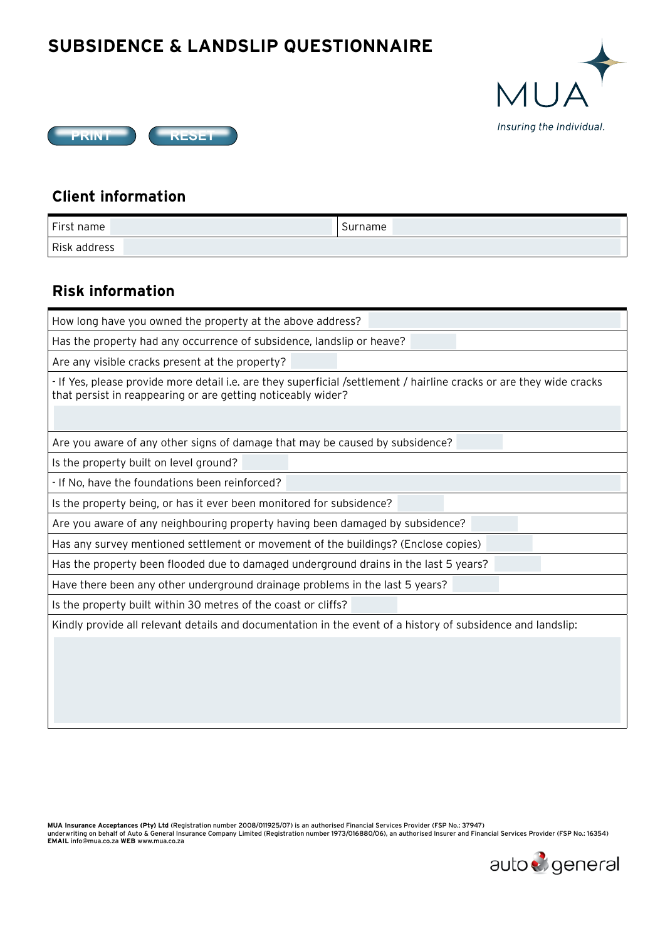## **SUBSIDENCE & LANDSLIP QUESTIONNAIRE**





## **Client information**

| First name   | -<br>Surname |
|--------------|--------------|
| Risk address |              |

## **Risk information**

How long have you owned the property at the above address?

Has the property had any occurrence of subsidence, landslip or heave?

Are any visible cracks present at the property?

- If Yes, please provide more detail i.e. are they superficial /settlement / hairline cracks or are they wide cracks that persist in reappearing or are getting noticeably wider?

Yes No

Yes No

Yes No

Are you aware of any other signs of damage that may be caused by subsidence?

Is the property built on level ground?

- If No, have the foundations been reinforced?

Is the property being, or has it ever been monitored for subsidence?

whister and a demonstrate that the Viernia of the Viernia of the Viernia of the Nordian Cordian Cordian Cordia<br>Are you aware of any neighbouring property having been damaged by subsidence?

Has any survey mentioned settlement or movement of the buildings? (Enclose copies)

Has the property been flooded due to damaged underground drains in the last 5 years? es)<br>ars?<br>Antistantis

Have there been any other underground drainage problems in the last 5 years?

Is the property built within 30 metres of the coast or cliffs?

words and the evant details and documentation in the event of a history of subsidence and landslip:<br>Mindly provide all relevant details and documentation in the event of a history of subsidence and landslip:

MUA Insurance Acceptances (Pty) Ltd (Registration number 2008/011925/07) is an authorised Financial Services Provider (FSP No.: 37947)<br>underwriting on behalf of Auto & General Insurance Company Limited (Registration number **EMAIL** info@mua.co.za **WEB** www.mua.co.za